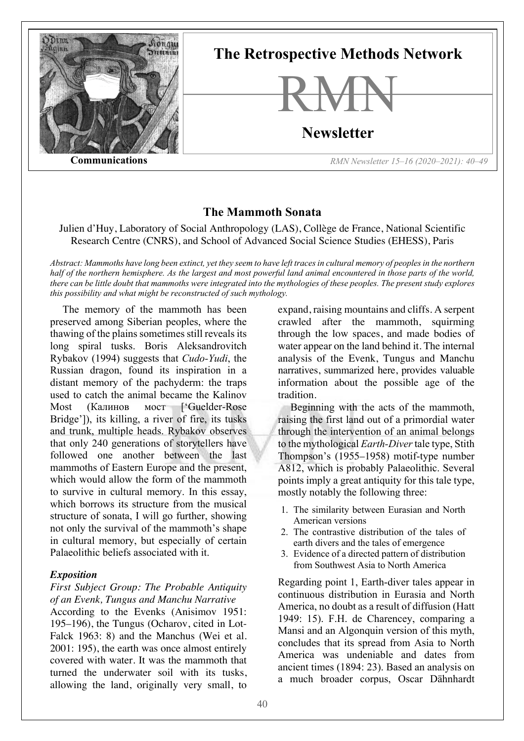

# **The Mammoth Sonata**

Julien d'Huy, Laboratory of Social Anthropology (LAS), Collège de France, National Scientific Research Centre (CNRS), and School of Advanced Social Science Studies (EHESS), Paris

*Abstract: Mammoths have long been extinct, yet they seem to have left traces in cultural memory of peoples in the northern half of the northern hemisphere. As the largest and most powerful land animal encountered in those parts of the world, there can be little doubt that mammoths were integrated into the mythologies of these peoples. The present study explores this possibility and what might be reconstructed of such mythology.*

The memory of the mammoth has been preserved among Siberian peoples, where the thawing of the plains sometimes still reveals its long spiral tusks. Boris Aleksandrovitch Rybakov (1994) suggests that *Cudo-Yudi*, the Russian dragon, found its inspiration in a distant memory of the pachyderm: the traps used to catch the animal became the Kalinov Most (Калинов мост ['Guelder-Rose Bridge']), its killing, a river of fire, its tusks and trunk, multiple heads. Rybakov observes that only 240 generations of storytellers have followed one another between the last mammoths of Eastern Europe and the present, which would allow the form of the mammoth to survive in cultural memory. In this essay, which borrows its structure from the musical structure of sonata, I will go further, showing not only the survival of the mammoth's shape in cultural memory, but especially of certain Palaeolithic beliefs associated with it.

#### *Exposition*

#### *First Subject Group: The Probable Antiquity of an Evenk, Tungus and Manchu Narrative*

According to the Evenks (Anisimov 1951: 195–196), the Tungus (Ocharov, cited in Lot-Falck 1963: 8) and the Manchus (Wei et al. 2001: 195), the earth was once almost entirely covered with water. It was the mammoth that turned the underwater soil with its tusks, allowing the land, originally very small, to

expand, raising mountains and cliffs. A serpent crawled after the mammoth, squirming through the low spaces, and made bodies of water appear on the land behind it. The internal analysis of the Evenk, Tungus and Manchu narratives, summarized here, provides valuable information about the possible age of the tradition.

Beginning with the acts of the mammoth, raising the first land out of a primordial water through the intervention of an animal belongs to the mythological *Earth-Diver*tale type, Stith Thompson's (1955–1958) motif-type number A812, which is probably Palaeolithic. Several points imply a great antiquity for this tale type, mostly notably the following three:

- 1. The similarity between Eurasian and North American versions
- 2. The contrastive distribution of the tales of earth divers and the tales of emergence
- 3. Evidence of a directed pattern of distribution from Southwest Asia to North America

Regarding point 1, Earth-diver tales appear in continuous distribution in Eurasia and North America, no doubt as a result of diffusion (Hatt 1949: 15). F.H. de Charencey, comparing a Mansi and an Algonquin version of this myth, concludes that its spread from Asia to North America was undeniable and dates from ancient times (1894: 23). Based an analysis on a much broader corpus, Oscar Dähnhardt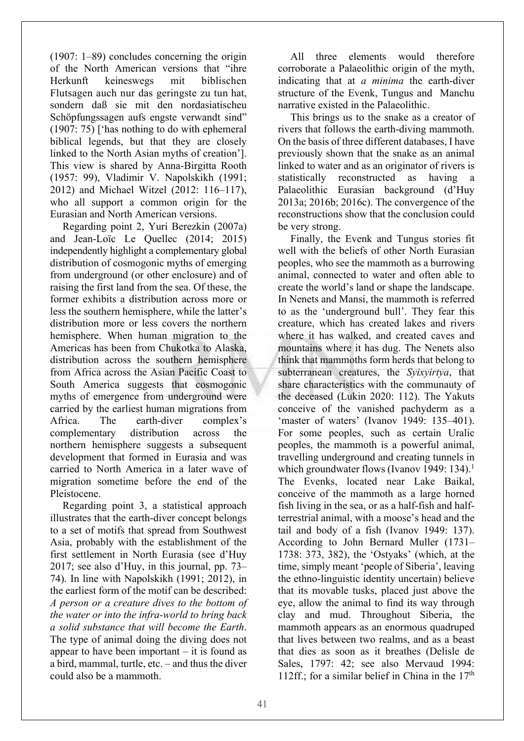(1907: 1–89) concludes concerning the origin of the North American versions that "ihre Herkunft keineswegs mit biblischen Flutsagen auch nur das geringste zu tun hat, sondern daß sie mit den nordasiatischeu Schöpfungssagen aufs engste verwandt sind" (1907: 75) ['has nothing to do with ephemeral biblical legends, but that they are closely linked to the North Asian myths of creation']. This view is shared by Anna-Birgitta Rooth (1957: 99), Vladimir V. Napolskikh (1991; 2012) and Michael Witzel (2012: 116–117), who all support a common origin for the Eurasian and North American versions.

Regarding point 2, Yuri Berezkin (2007a) and Jean-Loïc Le Quellec (2014; 2015) independently highlight a complementary global distribution of cosmogonic myths of emerging from underground (or other enclosure) and of raising the first land from the sea. Of these, the former exhibits a distribution across more or less the southern hemisphere, while the latter's distribution more or less covers the northern hemisphere. When human migration to the Americas has been from Chukotka to Alaska, distribution across the southern hemisphere from Africa across the Asian Pacific Coast to South America suggests that cosmogonic myths of emergence from underground were carried by the earliest human migrations from Africa. The earth-diver complex's complementary distribution across the northern hemisphere suggests a subsequent development that formed in Eurasia and was carried to North America in a later wave of migration sometime before the end of the Pleistocene.

Regarding point 3, a statistical approach illustrates that the earth-diver concept belongs to a set of motifs that spread from Southwest Asia, probably with the establishment of the first settlement in North Eurasia (see d'Huy 2017; see also d'Huy, in this journal, pp. 73– 74). In line with Napolskikh (1991; 2012), in the earliest form of the motif can be described: *A person or a creature dives to the bottom of the water or into the infra-world to bring back a solid substance that will become the Earth*. The type of animal doing the diving does not appear to have been important  $-$  it is found as a bird, mammal, turtle, etc. – and thus the diver could also be a mammoth.

All three elements would therefore corroborate a Palaeolithic origin of the myth, indicating that at *a minima* the earth-diver structure of the Evenk, Tungus and Manchu narrative existed in the Palaeolithic.

This brings us to the snake as a creator of rivers that follows the earth-diving mammoth. On the basis of three different databases, I have previously shown that the snake as an animal linked to water and as an originator of rivers is statistically reconstructed as having a Palaeolithic Eurasian background (d'Huy 2013a; 2016b; 2016c). The convergence of the reconstructions show that the conclusion could be very strong.

Finally, the Evenk and Tungus stories fit well with the beliefs of other North Eurasian peoples, who see the mammoth as a burrowing animal, connected to water and often able to create the world's land or shape the landscape. In Nenets and Mansi, the mammoth is referred to as the 'underground bull'. They fear this creature, which has created lakes and rivers where it has walked, and created caves and mountains where it has dug. The Nenets also think that mammoths form herds that belong to subterranean creatures, the *Syixyirtya*, that share characteristics with the communauty of the deceased (Lukin 2020: 112). The Yakuts conceive of the vanished pachyderm as a 'master of waters' (Ivanov 1949: 135–401). For some peoples, such as certain Uralic peoples, the mammoth is a powerful animal, travelling underground and creating tunnels in which groundwater flows (Ivanov 1949: 134).<sup>1</sup> The Evenks, located near Lake Baikal, conceive of the mammoth as a large horned fish living in the sea, or as a half-fish and halfterrestrial animal, with a moose's head and the tail and body of a fish (Ivanov 1949: 137). According to John Bernard Muller (1731– 1738: 373, 382), the 'Ostyaks' (which, at the time, simply meant 'people of Siberia', leaving the ethno-linguistic identity uncertain) believe that its movable tusks, placed just above the eye, allow the animal to find its way through clay and mud. Throughout Siberia, the mammoth appears as an enormous quadruped that lives between two realms, and as a beast that dies as soon as it breathes (Delisle de Sales, 1797: 42; see also Mervaud 1994: 112ff.; for a similar belief in China in the  $17<sup>th</sup>$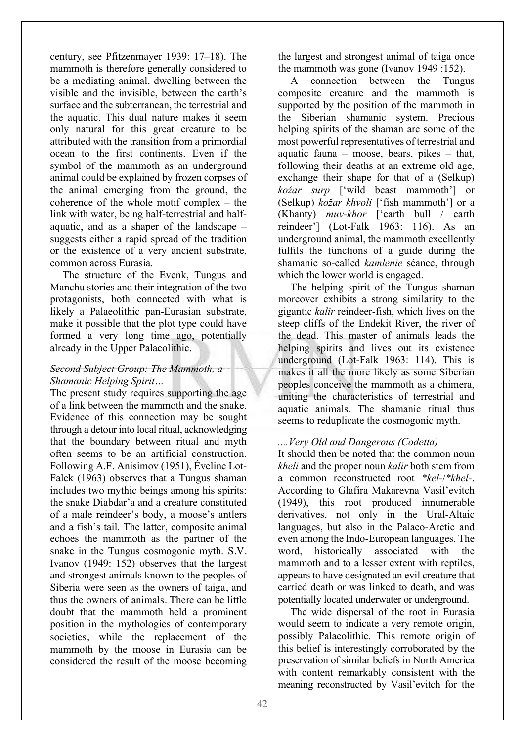century, see Pfitzenmayer 1939: 17–18). The mammoth is therefore generally considered to be a mediating animal, dwelling between the visible and the invisible, between the earth's surface and the subterranean, the terrestrial and the aquatic. This dual nature makes it seem only natural for this great creature to be attributed with the transition from a primordial ocean to the first continents. Even if the symbol of the mammoth as an underground animal could be explained by frozen corpses of the animal emerging from the ground, the coherence of the whole motif complex – the link with water, being half-terrestrial and halfaquatic, and as a shaper of the landscape – suggests either a rapid spread of the tradition or the existence of a very ancient substrate, common across Eurasia.

The structure of the Evenk, Tungus and Manchu stories and their integration of the two protagonists, both connected with what is likely a Palaeolithic pan-Eurasian substrate, make it possible that the plot type could have formed a very long time ago, potentially already in the Upper Palaeolithic.

## *Second Subject Group: The Mammoth, a Shamanic Helping Spirit…*

The present study requires supporting the age of a link between the mammoth and the snake. Evidence of this connection may be sought through a detour into local ritual, acknowledging that the boundary between ritual and myth often seems to be an artificial construction. Following A.F. Anisimov (1951), Éveline Lot-Falck (1963) observes that a Tungus shaman includes two mythic beings among his spirits: the snake Diabdar'a and a creature constituted of a male reindeer's body, a moose's antlers and a fish's tail. The latter, composite animal echoes the mammoth as the partner of the snake in the Tungus cosmogonic myth. S.V. Ivanov (1949: 152) observes that the largest and strongest animals known to the peoples of Siberia were seen as the owners of taiga, and thus the owners of animals. There can be little doubt that the mammoth held a prominent position in the mythologies of contemporary societies, while the replacement of the mammoth by the moose in Eurasia can be considered the result of the moose becoming the largest and strongest animal of taiga once the mammoth was gone (Ivanov 1949 :152).

A connection between the Tungus composite creature and the mammoth is supported by the position of the mammoth in the Siberian shamanic system. Precious helping spirits of the shaman are some of the most powerful representatives of terrestrial and aquatic fauna – moose, bears, pikes – that, following their deaths at an extreme old age, exchange their shape for that of a (Selkup) *kožar surp* ['wild beast mammoth'] or (Selkup) *kožar khvoli* ['fish mammoth'] or a (Khanty) *muv-khor* ['earth bull / earth reindeer'] (Lot-Falk 1963: 116). As an underground animal, the mammoth excellently fulfils the functions of a guide during the shamanic so-called *kamlenie* séance, through which the lower world is engaged.

The helping spirit of the Tungus shaman moreover exhibits a strong similarity to the gigantic *kalir* reindeer-fish, which lives on the steep cliffs of the Endekit River, the river of the dead. This master of animals leads the helping spirits and lives out its existence underground (Lot-Falk 1963: 114). This is makes it all the more likely as some Siberian peoples conceive the mammoth as a chimera, uniting the characteristics of terrestrial and aquatic animals. The shamanic ritual thus seems to reduplicate the cosmogonic myth.

#### *....Very Old and Dangerous (Codetta)*

It should then be noted that the common noun *kheli* and the proper noun *kalir* both stem from a common reconstructed root *\*kel-*/*\*khel-*. According to Glafira Makarevna Vasil'evitch (1949), this root produced innumerable derivatives, not only in the Ural-Altaic languages, but also in the Palaeo-Arctic and even among the Indo-European languages. The word, historically associated with the mammoth and to a lesser extent with reptiles, appears to have designated an evil creature that carried death or was linked to death, and was potentially located underwater or underground.

The wide dispersal of the root in Eurasia would seem to indicate a very remote origin, possibly Palaeolithic. This remote origin of this belief is interestingly corroborated by the preservation of similar beliefs in North America with content remarkably consistent with the meaning reconstructed by Vasil'evitch for the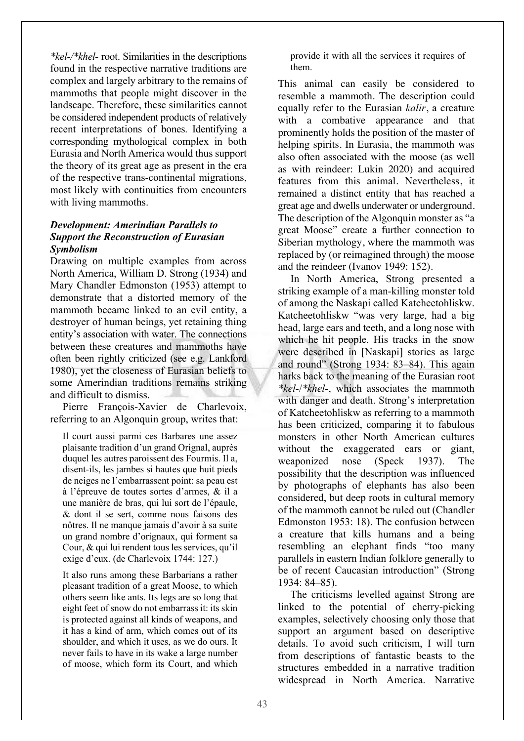*\*kel-/\*khel-* root. Similarities in the descriptions found in the respective narrative traditions are complex and largely arbitrary to the remains of mammoths that people might discover in the landscape. Therefore, these similarities cannot be considered independent products of relatively recent interpretations of bones. Identifying a corresponding mythological complex in both Eurasia and North America would thus support the theory of its great age as present in the era of the respective trans-continental migrations, most likely with continuities from encounters with living mammoths.

#### *Development: Amerindian Parallels to Support the Reconstruction of Eurasian Symbolism*

Drawing on multiple examples from across North America, William D. Strong (1934) and Mary Chandler Edmonston (1953) attempt to demonstrate that a distorted memory of the mammoth became linked to an evil entity, a destroyer of human beings, yet retaining thing entity's association with water. The connections between these creatures and mammoths have often been rightly criticized (see e.g. Lankford 1980), yet the closeness of Eurasian beliefs to some Amerindian traditions remains striking and difficult to dismiss.

Pierre François-Xavier de Charlevoix, referring to an Algonquin group, writes that:

Il court aussi parmi ces Barbares une assez plaisante tradition d'un grand Orignal, auprès duquel les autres paroissent des Fourmis. Il a, disent-ils, les jambes si hautes que huit pieds de neiges ne l'embarrassent point: sa peau est à l'épreuve de toutes sortes d'armes, & il a une manière de bras, qui lui sort de l'épaule, & dont il se sert, comme nous faisons des nôtres. Il ne manque jamais d'avoir à sa suite un grand nombre d'orignaux, qui forment sa Cour, & qui lui rendent tous les services, qu'il exige d'eux. (de Charlevoix 1744: 127.)

It also runs among these Barbarians a rather pleasant tradition of a great Moose, to which others seem like ants. Its legs are so long that eight feet of snow do not embarrass it: its skin is protected against all kinds of weapons, and it has a kind of arm, which comes out of its shoulder, and which it uses, as we do ours. It never fails to have in its wake a large number of moose, which form its Court, and which provide it with all the services it requires of them.

This animal can easily be considered to resemble a mammoth. The description could equally refer to the Eurasian *kalir*, a creature with a combative appearance and that prominently holds the position of the master of helping spirits. In Eurasia, the mammoth was also often associated with the moose (as well as with reindeer: Lukin 2020) and acquired features from this animal. Nevertheless, it remained a distinct entity that has reached a great age and dwells underwater or underground. The description of the Algonquin monster as "a great Moose" create a further connection to Siberian mythology, where the mammoth was replaced by (or reimagined through) the moose and the reindeer (Ivanov 1949: 152).

In North America, Strong presented a striking example of a man-killing monster told of among the Naskapi called Katcheetohliskw. Katcheetohliskw "was very large, had a big head, large ears and teeth, and a long nose with which he hit people. His tracks in the snow were described in [Naskapi] stories as large and round" (Strong 1934: 83–84). This again harks back to the meaning of the Eurasian root *\*kel-*/*\*khel-*, which associates the mammoth with danger and death. Strong's interpretation of Katcheetohliskw as referring to a mammoth has been criticized, comparing it to fabulous monsters in other North American cultures without the exaggerated ears or giant, weaponized nose (Speck 1937). The possibility that the description was influenced by photographs of elephants has also been considered, but deep roots in cultural memory of the mammoth cannot be ruled out (Chandler Edmonston 1953: 18). The confusion between a creature that kills humans and a being resembling an elephant finds "too many parallels in eastern Indian folklore generally to be of recent Caucasian introduction" (Strong 1934: 84–85).

The criticisms levelled against Strong are linked to the potential of cherry-picking examples, selectively choosing only those that support an argument based on descriptive details. To avoid such criticism, I will turn from descriptions of fantastic beasts to the structures embedded in a narrative tradition widespread in North America. Narrative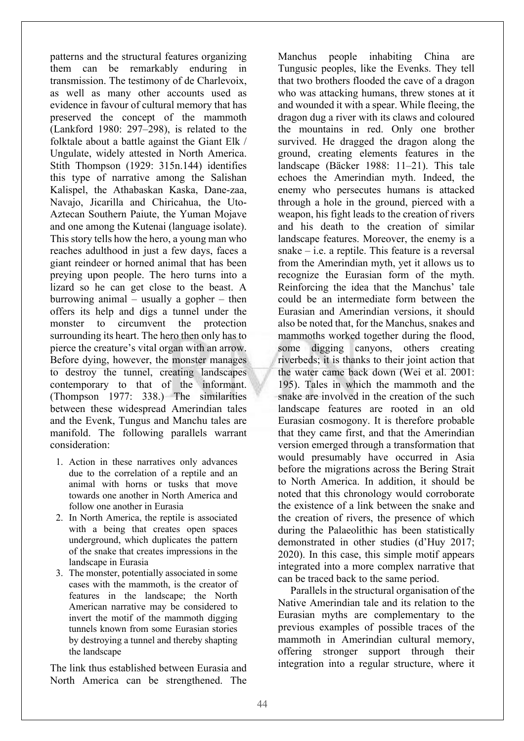patterns and the structural features organizing them can be remarkably enduring in transmission. The testimony of de Charlevoix, as well as many other accounts used as evidence in favour of cultural memory that has preserved the concept of the mammoth (Lankford 1980: 297–298), is related to the folktale about a battle against the Giant Elk / Ungulate, widely attested in North America. Stith Thompson (1929: 315n.144) identifies this type of narrative among the Salishan Kalispel, the Athabaskan Kaska, Dane-zaa, Navajo, Jicarilla and Chiricahua, the Uto-Aztecan Southern Paiute, the Yuman Mojave and one among the Kutenai (language isolate). This story tells how the hero, a young man who reaches adulthood in just a few days, faces a giant reindeer or horned animal that has been preying upon people. The hero turns into a lizard so he can get close to the beast. A burrowing animal – usually a gopher – then offers its help and digs a tunnel under the monster to circumvent the protection surrounding its heart. The hero then only has to pierce the creature's vital organ with an arrow. Before dying, however, the monster manages to destroy the tunnel, creating landscapes contemporary to that of the informant. (Thompson 1977: 338.) The similarities between these widespread Amerindian tales and the Evenk, Tungus and Manchu tales are manifold. The following parallels warrant consideration:

- 1. Action in these narratives only advances due to the correlation of a reptile and an animal with horns or tusks that move towards one another in North America and follow one another in Eurasia
- 2. In North America, the reptile is associated with a being that creates open spaces underground, which duplicates the pattern of the snake that creates impressions in the landscape in Eurasia
- 3. The monster, potentially associated in some cases with the mammoth, is the creator of features in the landscape; the North American narrative may be considered to invert the motif of the mammoth digging tunnels known from some Eurasian stories by destroying a tunnel and thereby shapting the landscape

The link thus established between Eurasia and North America can be strengthened. The

Manchus people inhabiting China are Tungusic peoples, like the Evenks. They tell that two brothers flooded the cave of a dragon who was attacking humans, threw stones at it and wounded it with a spear. While fleeing, the dragon dug a river with its claws and coloured the mountains in red. Only one brother survived. He dragged the dragon along the ground, creating elements features in the landscape (Bäcker 1988: 11–21). This tale echoes the Amerindian myth. Indeed, the enemy who persecutes humans is attacked through a hole in the ground, pierced with a weapon, his fight leads to the creation of rivers and his death to the creation of similar landscape features. Moreover, the enemy is a snake – i.e. a reptile. This feature is a reversal from the Amerindian myth, yet it allows us to recognize the Eurasian form of the myth. Reinforcing the idea that the Manchus' tale could be an intermediate form between the Eurasian and Amerindian versions, it should also be noted that, for the Manchus, snakes and mammoths worked together during the flood, some digging canyons, others creating riverbeds; it is thanks to their joint action that the water came back down (Wei et al. 2001: 195). Tales in which the mammoth and the snake are involved in the creation of the such landscape features are rooted in an old Eurasian cosmogony. It is therefore probable that they came first, and that the Amerindian version emerged through a transformation that would presumably have occurred in Asia before the migrations across the Bering Strait to North America. In addition, it should be noted that this chronology would corroborate the existence of a link between the snake and the creation of rivers, the presence of which during the Palaeolithic has been statistically demonstrated in other studies (d'Huy 2017; 2020). In this case, this simple motif appears integrated into a more complex narrative that can be traced back to the same period.

Parallels in the structural organisation of the Native Amerindian tale and its relation to the Eurasian myths are complementary to the previous examples of possible traces of the mammoth in Amerindian cultural memory, offering stronger support through their integration into a regular structure, where it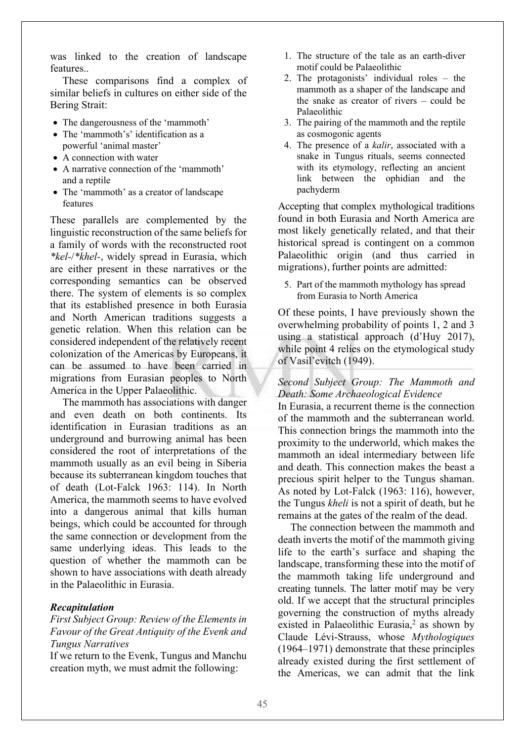was linked to the creation of landscape features..

These comparisons find a complex of similar beliefs in cultures on either side of the Bering Strait:

- The dangerousness of the 'mammoth'
- The 'mammoth's' identification as a powerful 'animal master'
- A connection with water
- A narrative connection of the 'mammoth' and a reptile
- The 'mammoth' as a creator of landscape features

These parallels are complemented by the linguistic reconstruction of the same beliefs for a family of words with the reconstructed root *\*kel-*/*\*khel-*, widely spread in Eurasia, which are either present in these narratives or the corresponding semantics can be observed there. The system of elements is so complex that its established presence in both Eurasia and North American traditions suggests a genetic relation. When this relation can be considered independent of the relatively recent colonization of the Americas by Europeans, it can be assumed to have been carried in migrations from Eurasian peoples to North America in the Upper Palaeolithic.

The mammoth has associations with danger and even death on both continents. Its identification in Eurasian traditions as an underground and burrowing animal has been considered the root of interpretations of the mammoth usually as an evil being in Siberia because its subterranean kingdom touches that of death (Lot-Falck 1963: 114). In North America, the mammoth seems to have evolved into a dangerous animal that kills human beings, which could be accounted for through the same connection or development from the same underlying ideas. This leads to the question of whether the mammoth can be shown to have associations with death already in the Palaeolithic in Eurasia.

#### *Recapitulation*

### *First Subject Group: Review of the Elements in Favour of the Great Antiquity of the Evenk and Tungus Narratives*

If we return to the Evenk, Tungus and Manchu creation myth, we must admit the following:

- 1. The structure of the tale as an earth-diver motif could be Palaeolithic
- 2. The protagonists' individual roles the mammoth as a shaper of the landscape and the snake as creator of rivers – could be Palaeolithic
- 3. The pairing of the mammoth and the reptile as cosmogonic agents
- 4. The presence of a *kalir*, associated with a snake in Tungus rituals, seems connected with its etymology, reflecting an ancient link between the ophidian and the pachyderm

Accepting that complex mythological traditions found in both Eurasia and North America are most likely genetically related, and that their historical spread is contingent on a common Palaeolithic origin (and thus carried in migrations), further points are admitted:

5. Part of the mammoth mythology has spread from Eurasia to North America

Of these points, I have previously shown the overwhelming probability of points 1, 2 and 3 using a statistical approach (d'Huy 2017), while point 4 relies on the etymological study of Vasil'evitch (1949).

*Second Subject Group: The Mammoth and Death: Some Archaeological Evidence*

In Eurasia, a recurrent theme is the connection of the mammoth and the subterranean world. This connection brings the mammoth into the proximity to the underworld, which makes the mammoth an ideal intermediary between life and death. This connection makes the beast a precious spirit helper to the Tungus shaman. As noted by Lot-Falck (1963: 116), however, the Tungus *kheli* is not a spirit of death, but he remains at the gates of the realm of the dead.

The connection between the mammoth and death inverts the motif of the mammoth giving life to the earth's surface and shaping the landscape, transforming these into the motif of the mammoth taking life underground and creating tunnels. The latter motif may be very old. If we accept that the structural principles governing the construction of myths already existed in Palaeolithic Eurasia, $<sup>2</sup>$  as shown by</sup> Claude Lévi-Strauss, whose *Mythologiques* (1964–1971) demonstrate that these principles already existed during the first settlement of the Americas, we can admit that the link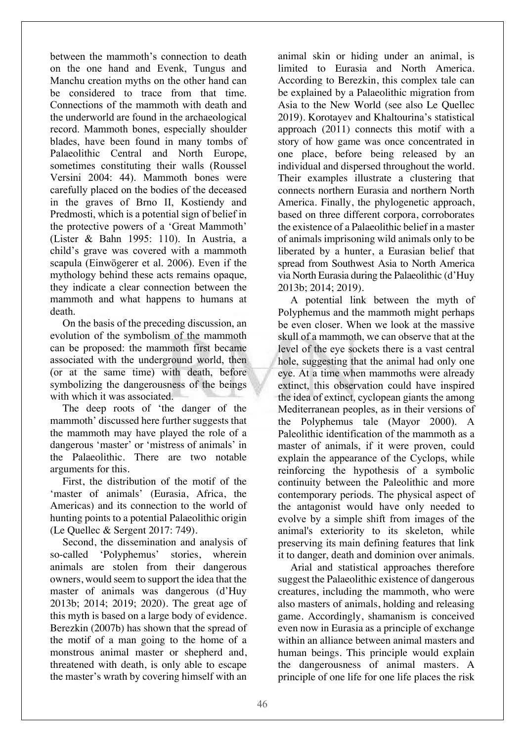between the mammoth's connection to death on the one hand and Evenk, Tungus and Manchu creation myths on the other hand can be considered to trace from that time. Connections of the mammoth with death and the underworld are found in the archaeological record. Mammoth bones, especially shoulder blades, have been found in many tombs of Palaeolithic Central and North Europe, sometimes constituting their walls (Roussel Versini 2004: 44). Mammoth bones were carefully placed on the bodies of the deceased in the graves of Brno II, Kostiendy and Predmosti, which is a potential sign of belief in the protective powers of a 'Great Mammoth' (Lister & Bahn 1995: 110). In Austria, a child's grave was covered with a mammoth scapula (Einwögerer et al. 2006). Even if the mythology behind these acts remains opaque, they indicate a clear connection between the mammoth and what happens to humans at death.

On the basis of the preceding discussion, an evolution of the symbolism of the mammoth can be proposed: the mammoth first became associated with the underground world, then (or at the same time) with death, before symbolizing the dangerousness of the beings with which it was associated.

The deep roots of 'the danger of the mammoth' discussed here further suggests that the mammoth may have played the role of a dangerous 'master' or 'mistress of animals' in the Palaeolithic. There are two notable arguments for this.

First, the distribution of the motif of the 'master of animals' (Eurasia, Africa, the Americas) and its connection to the world of hunting points to a potential Palaeolithic origin (Le Quellec & Sergent 2017: 749).

Second, the dissemination and analysis of so-called 'Polyphemus' stories, wherein animals are stolen from their dangerous owners, would seem to support the idea that the master of animals was dangerous (d'Huy 2013b; 2014; 2019; 2020). The great age of this myth is based on a large body of evidence. Berezkin (2007b) has shown that the spread of the motif of a man going to the home of a monstrous animal master or shepherd and, threatened with death, is only able to escape the master's wrath by covering himself with an

animal skin or hiding under an animal, is limited to Eurasia and North America. According to Berezkin, this complex tale can be explained by a Palaeolithic migration from Asia to the New World (see also Le Quellec 2019). Korotayev and Khaltourina's statistical approach (2011) connects this motif with a story of how game was once concentrated in one place, before being released by an individual and dispersed throughout the world. Their examples illustrate a clustering that connects northern Eurasia and northern North America. Finally, the phylogenetic approach, based on three different corpora, corroborates the existence of a Palaeolithic belief in a master of animals imprisoning wild animals only to be liberated by a hunter, a Eurasian belief that spread from Southwest Asia to North America via North Eurasia during the Palaeolithic (d'Huy 2013b; 2014; 2019).

A potential link between the myth of Polyphemus and the mammoth might perhaps be even closer. When we look at the massive skull of a mammoth, we can observe that at the level of the eye sockets there is a vast central hole, suggesting that the animal had only one eye. At a time when mammoths were already extinct, this observation could have inspired the idea of extinct, cyclopean giants the among Mediterranean peoples, as in their versions of the Polyphemus tale (Mayor 2000). A Paleolithic identification of the mammoth as a master of animals, if it were proven, could explain the appearance of the Cyclops, while reinforcing the hypothesis of a symbolic continuity between the Paleolithic and more contemporary periods. The physical aspect of the antagonist would have only needed to evolve by a simple shift from images of the animal's exteriority to its skeleton, while preserving its main defining features that link it to danger, death and dominion over animals.

Arial and statistical approaches therefore suggest the Palaeolithic existence of dangerous creatures, including the mammoth, who were also masters of animals, holding and releasing game. Accordingly, shamanism is conceived even now in Eurasia as a principle of exchange within an alliance between animal masters and human beings. This principle would explain the dangerousness of animal masters. A principle of one life for one life places the risk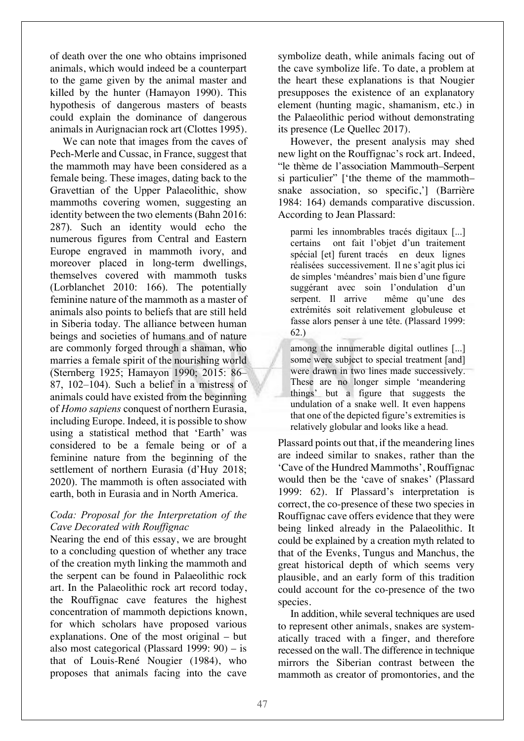of death over the one who obtains imprisoned animals, which would indeed be a counterpart to the game given by the animal master and killed by the hunter (Hamayon 1990). This hypothesis of dangerous masters of beasts could explain the dominance of dangerous animals in Aurignacian rock art (Clottes 1995).

We can note that images from the caves of Pech-Merle and Cussac, in France, suggest that the mammoth may have been considered as a female being. These images, dating back to the Gravettian of the Upper Palaeolithic, show mammoths covering women, suggesting an identity between the two elements (Bahn 2016: 287). Such an identity would echo the numerous figures from Central and Eastern Europe engraved in mammoth ivory, and moreover placed in long-term dwellings, themselves covered with mammoth tusks (Lorblanchet 2010: 166). The potentially feminine nature of the mammoth as a master of animals also points to beliefs that are still held in Siberia today. The alliance between human beings and societies of humans and of nature are commonly forged through a shaman, who marries a female spirit of the nourishing world (Sternberg 1925; Hamayon 1990; 2015: 86– 87, 102–104). Such a belief in a mistress of animals could have existed from the beginning of *Homo sapiens* conquest of northern Eurasia, including Europe. Indeed, it is possible to show using a statistical method that 'Earth' was considered to be a female being or of a feminine nature from the beginning of the settlement of northern Eurasia (d'Huy 2018; 2020). The mammoth is often associated with earth, both in Eurasia and in North America.

### *Coda: Proposal for the Interpretation of the Cave Decorated with Rouffignac*

Nearing the end of this essay, we are brought to a concluding question of whether any trace of the creation myth linking the mammoth and the serpent can be found in Palaeolithic rock art. In the Palaeolithic rock art record today, the Rouffignac cave features the highest concentration of mammoth depictions known, for which scholars have proposed various explanations. One of the most original – but also most categorical (Plassard 1999: 90) – is that of Louis-René Nougier (1984), who proposes that animals facing into the cave

symbolize death, while animals facing out of the cave symbolize life. To date, a problem at the heart these explanations is that Nougier presupposes the existence of an explanatory element (hunting magic, shamanism, etc.) in the Palaeolithic period without demonstrating its presence (Le Quellec 2017).

However, the present analysis may shed new light on the Rouffignac's rock art. Indeed, "le thème de l'association Mammouth–Serpent si particulier" ['the theme of the mammoth– snake association, so specific,'] (Barrière 1984: 164) demands comparative discussion. According to Jean Plassard:

parmi les innombrables tracés digitaux [...] certains ont fait l'objet d'un traitement spécial [et] furent tracés en deux lignes réalisées successivement. Il ne s'agit plus ici de simples 'méandres' mais bien d'une figure suggérant avec soin l'ondulation d'un serpent. Il arrive même qu'une des extrémités soit relativement globuleuse et fasse alors penser à une tête. (Plassard 1999: 62.)

among the innumerable digital outlines [...] some were subject to special treatment [and] were drawn in two lines made successively. These are no longer simple 'meandering things' but a figure that suggests the undulation of a snake well. It even happens that one of the depicted figure's extremities is relatively globular and looks like a head.

Plassard points out that, if the meandering lines are indeed similar to snakes, rather than the 'Cave of the Hundred Mammoths', Rouffignac would then be the 'cave of snakes' (Plassard 1999: 62). If Plassard's interpretation is correct, the co-presence of these two species in Rouffignac cave offers evidence that they were being linked already in the Palaeolithic. It could be explained by a creation myth related to that of the Evenks, Tungus and Manchus, the great historical depth of which seems very plausible, and an early form of this tradition could account for the co-presence of the two species.

In addition, while several techniques are used to represent other animals, snakes are systematically traced with a finger, and therefore recessed on the wall. The difference in technique mirrors the Siberian contrast between the mammoth as creator of promontories, and the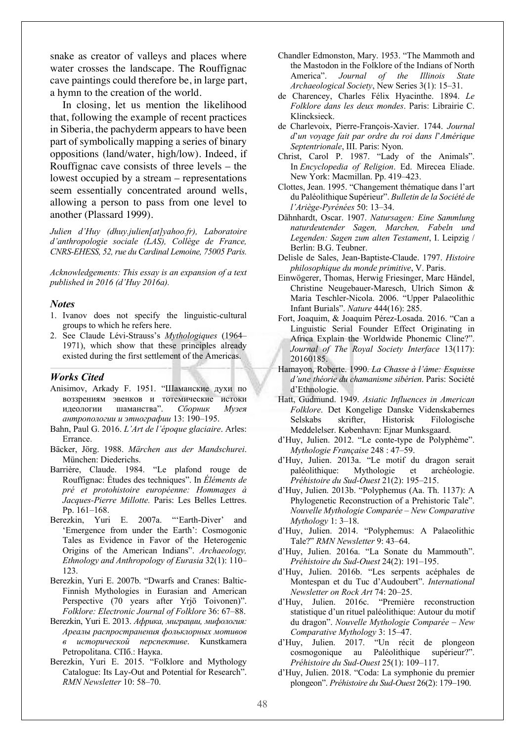snake as creator of valleys and places where water crosses the landscape. The Rouffignac cave paintings could therefore be, in large part, a hymn to the creation of the world.

In closing, let us mention the likelihood that, following the example of recent practices in Siberia, the pachyderm appears to have been part of symbolically mapping a series of binary oppositions (land/water, high/low). Indeed, if Rouffignac cave consists of three levels – the lowest occupied by a stream – representations seem essentially concentrated around wells, allowing a person to pass from one level to another (Plassard 1999).

*Julien d'Huy (dhuy.julien[at]yahoo.fr), Laboratoire d'anthropologie sociale (LAS), Collège de France, CNRS-EHESS, 52, rue du Cardinal Lemoine, 75005 Paris.*

*Acknowledgements: This essay is an expansion of a text published in 2016 (d'Huy 2016a).*

#### *Notes*

- 1. Ivanov does not specify the linguistic-cultural groups to which he refers here.
- 2. See Claude Lévi-Strauss's *Mythologiques* (1964– 1971), which show that these principles already existed during the first settlement of the Americas.

#### *Works Cited*

- Anisimov, Arkady F. 1951. "Шаманские духи по воззрениям эвенков и тотемические истоки идеологии шаманства". *Сборник Музея антропологии и этнографии* 13: 190–195.
- Bahn, Paul G. 2016. *L'Art de l'époque glaciaire*. Arles: Errance.
- Bäcker, Jörg. 1988. *Märchen aus der Mandschurei*. München: Diederichs.
- Barrière, Claude. 1984. "Le plafond rouge de Rouffignac: Études des techniques". In *Éléments de pré et protohistoire européenne: Hommages à Jacques-Pierre Millotte.* Paris: Les Belles Lettres. Pp. 161–168.
- Berezkin, Yuri E. 2007a. "'Earth-Diver' and 'Emergence from under the Earth': Cosmogonic Tales as Evidence in Favor of the Heterogenic Origins of the American Indians". *Archaeology, Ethnology and Anthropology of Eurasia* 32(1): 110– 123.
- Berezkin, Yuri E. 2007b. "Dwarfs and Cranes: Baltic-Finnish Mythologies in Eurasian and American Perspective (70 years after Yrjö Toivonen)". *Folklore: Electronic Journal of Folklore* 36: 67–88.
- Berezkin, Yuri E. 2013. *Африка, миграции, мифология: Ареалы распространения фольклорных мотивов в исторической перспективе*. Kunstkamera Petropolitana. СПб.: Наука.
- Berezkin, Yuri E. 2015. "Folklore and Mythology Catalogue: Its Lay-Out and Potential for Research". *RMN Newsletter* 10: 58–70.
- Chandler Edmonston, Mary. 1953. "The Mammoth and the Mastodon in the Folklore of the Indians of North America". *Journal of the Illinois State Archaeological Society*, New Series 3(1): 15–31.
- de Charencey, Charles Félix Hyacinthe. 1894. *Le Folklore dans les deux mondes*. Paris: Librairie C. Klincksieck.
- de Charlevoix, Pierre-François-Xavier. 1744. *Journal d*'*un voyage fait par ordre du roi dans l*'*Amérique Septentrionale*, III. Paris: Nyon.
- Christ, Carol P. 1987. "Lady of the Animals". In *Encyclopedia of Religion*. Ed. Mirecea Eliade. New York: Macmillan. Pp. 419–423.
- Clottes, Jean. 1995. "Changement thématique dans l'art du Paléolithique Supérieur". *Bulletin de la Société de l'Ariège-Pyrénées* 50: 13–34.
- Dähnhardt, Oscar. 1907. *Natursagen: Eine Sammlung naturdeutender Sagen, Marchen, Fabeln und Legenden: Sagen zum alten Testament*, I. Leipzig / Berlin: B.G. Teubner.
- Delisle de Sales, Jean-Baptiste-Claude. 1797. *Histoire philosophique du monde primitive*, V. Paris.
- Einwögerer, Thomas, Herwig Friesinger, Marc Händel, Christine Neugebauer-Maresch, Ulrich Simon & Maria Teschler-Nicola. 2006. "Upper Palaeolithic Infant Burials". *Nature* 444(16): 285.
- Fort, Joaquim, & Joaquim Pérez-Losada. 2016. "Can a Linguistic Serial Founder Effect Originating in Africa Explain the Worldwide Phonemic Cline?". *Journal of The Royal Society Interface* 13(117): 20160185.
- Hamayon, Roberte. 1990. *La Chasse à l'âme: Esquisse d'une théorie du chamanisme sibérien*. Paris: Société d'Ethnologie.
- Hatt, Gudmund. 1949. *Asiatic Influences in American Folklore*. Det Kongelige Danske Videnskabernes Selskabs skrifter, Historisk Filologische Meddelelser. København: Ejnar Munksgaard.
- d'Huy, Julien. 2012. "Le conte-type de Polyphème". *Mythologie Française* 248 : 47–59.
- d'Huy, Julien. 2013a. "Le motif du dragon serait paléolithique: Mythologie et archéologie. *Préhistoire du Sud-Ouest* 21(2): 195–215.
- d'Huy, Julien. 2013b. "Polyphemus (Aa. Th. 1137): A Phylogenetic Reconstruction of a Prehistoric Tale". *Nouvelle Mythologie Comparée – New Comparative Mythology* 1: 3–18.
- d'Huy, Julien. 2014. "Polyphemus: A Palaeolithic Tale?" *RMN Newsletter* 9: 43–64.
- d'Huy, Julien. 2016a. "La Sonate du Mammouth". *Préhistoire du Sud-Ouest* 24(2): 191–195.
- d'Huy, Julien. 2016b. "Les serpents acéphales de Montespan et du Tuc d'Audoubert". *International Newsletter on Rock Art* 74: 20–25.
- d'Huy, Julien. 2016c. "Première reconstruction statistique d'un rituel paléolithique: Autour du motif du dragon". *Nouvelle Mythologie Comparée – New Comparative Mythology* 3: 15–47.
- d'Huy, Julien. 2017. "Un récit de plongeon cosmogonique au Paléolithique supérieur?". *Préhistoire du Sud-Ouest* 25(1): 109–117.
- d'Huy, Julien. 2018. "Coda: La symphonie du premier plongeon". *Préhistoire du Sud-Ouest* 26(2): 179–190.